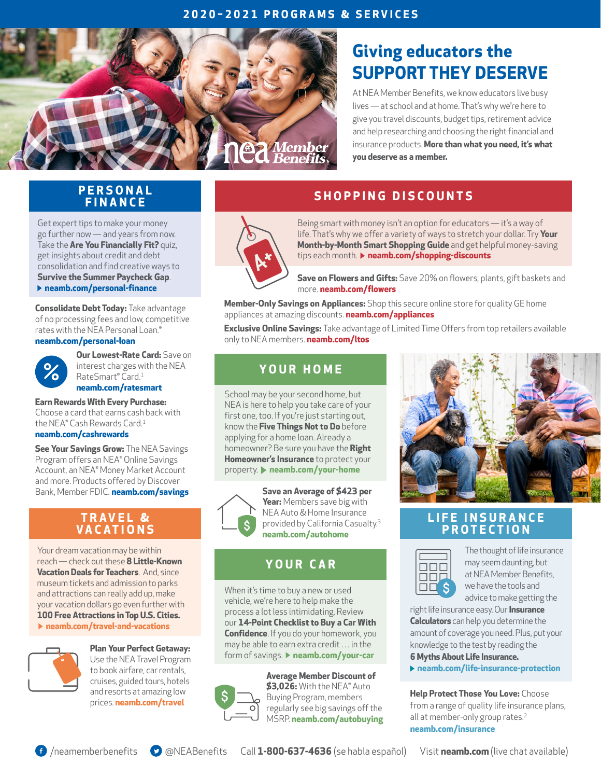### **2020–2021 PROGRAMS & SERVICES**



# **Giving educators the SUPPORT THEY DESERVE**

At NEA Member Benefits, we know educators live busy lives — at school and at home. That's why we're here to give you travel discounts, budget tips, retirement advice and help researching and choosing the right financial and insurance products. **More than what you need, it's what you deserve as a member.**

### **P E R S O N A L FINANCE**

Get expert tips to make your money go further now — and years from now. Take the **[Are You Financially Fit?](https://www.neamb.com/Personal-Finance/Are-You-Financially-Fit-Take-the-Quiz?utm_source=SOCO-002&utm_medium=psflyer2020&utm_content=financially-fit&utm_campaign=SOCO0616)** quiz, get insights about credit and debt consolidation and find creative ways to **[Survive the Summer Paycheck Gap](https://www.neamb.com/Personal-Finance/How-to-Survive-the-Summer-Paycheck-Gap?utm_source=SOCO-002&utm_medium=psflyer2020&utm_content=summer-paycheck&utm_campaign=SOCO0616)**. **[neamb.com/personal-finance](https://www.neamb.com/personal-finance?utm_source=SOCO-002&utm_medium=psflyer2020&utm_content=personal-finance&utm_campaign=SOCO0616)**

**Consolidate Debt Today:** Take advantage of no processing fees and low, competitive rates with the NEA Personal Loan.<sup>®</sup>

#### **[neamb.com/personal-loan](https://www.neamb.com/Products/NEA-Personal-Loan-More-Than-5K?utm_source=SOCO-002&utm_medium=psflyer2020&utm_content=personal-loan&utm_campaign=SOCO0616)**



**Our Lowest-Rate Card:** Save on interest charges with the NEA RateSmart® Card.<sup>1</sup> **[neamb.com/ratesmart](https://www.neamb.com/Products/The-NEA-RateSmart-Card?utm_source=SOCO-002&utm_medium=psflyer2020&utm_content=ratesmart&utm_campaign=SOCO0616)** 

**Earn Rewards With Every Purchase:**  Choose a card that earns cash back with the NEA® Cash Rewards Card.<sup>1</sup>

#### **[neamb.com/cashrewards](https://www.neamb.com/products/nea-cash-rewards-card?utm_source=SOCO-002&utm_medium=psflyer2020&utm_content=cashrewards&utm_campaign=SOCO0616)**

**See Your Savings Grow: The NEA Savings** Program offers an NEA® Online Savings Account, an NEA® Money Market Account and more. Products offered by Discover Bank, Member FDIC. **[neamb.com/savings](https://www.neamb.com/Products/Savings-CD-Money-Mkt-Accounts?utm_source=SOCO-002&utm_medium=psflyer2020&utm_content=savings&utm_campaign=SOCO0616)**

### **T R A V E L & VACATIONS**

Your dream vacation may be within reach — check out these **[8 Little-Known](https://www.neamb.com/travel-and-vacations/8-littleknown-vacation-deals-for-teachers?utm_source=SOCO-002&utm_medium=psflyer2020&utm_content=travel-deals&utm_campaign=SOCO0616)  [Vacation Deals for Teachers](https://www.neamb.com/travel-and-vacations/8-littleknown-vacation-deals-for-teachers?utm_source=SOCO-002&utm_medium=psflyer2020&utm_content=travel-deals&utm_campaign=SOCO0616)**. And, since museum tickets and admission to parks and attractions can really add up, make your vacation dollars go even further with **[100 Free Attractions in Top U.S. Cities.](https://www.neamb.com/travel-and-vacations/100-free-attractions-in-top-us-cities?utm_source=SOCO-002&utm_medium=psflyer2020&utm_content=free-attractions&utm_campaign=SOCO0616)  [neamb.com/travel-and-vacations](https://www.neamb.com/travel-and-vacations?utm_source=SOCO-002&utm_medium=psflyer2020&utm_content=travel-and-vacations&utm_campaign=SOCO0616)**



**Plan Your Perfect Getaway:**  Use the NEA Travel Program to book airfare, car rentals, cruises, guided tours, hotels and resorts at amazing low prices. **[neamb.com/travel](https://www.neamb.com/travel-and-vacations?utm_source=SOCO-002&utm_medium=psflyer2020&utm_content=travel&utm_campaign=SOCO0616)** 

# **SHOPPING DISCOUNTS**



Being smart with money isn't an option for educators — it's a way of life. That's why we offer a variety of ways to stretch your dollar. Try **[Your](https://www.neamb.com/personal-finance/your-month-by-month-smart-shopping-guide?utm_source=SOCO-002&utm_medium=psflyer2020&utm_content=smart-shopping&utm_campaign=SOCO0616)  [Month-by-Month Smart Shopping Guide](https://www.neamb.com/personal-finance/your-month-by-month-smart-shopping-guide?utm_source=SOCO-002&utm_medium=psflyer2020&utm_content=smart-shopping&utm_campaign=SOCO0616)** and get helpful money-saving tips each month. **[neamb.com/shopping-discounts](https://www.neamb.com/shopping-discounts?utm_source=SOCO-002&utm_medium=psflyer2020&utm_content=shopping-discounts&utm_campaign=SOCO0616)**

**Save on Flowers and Gifts:** Save 20% on flowers, plants, gift baskets and more. **[neamb.com/flowers](https://www.neamb.com/products/flowers-and-gourmet-gifts?utm_source=SOCO-002&utm_medium=psflyer2020&utm_content=flowers&utm_campaign=SOCO0616)**

**Member-Only Savings on Appliances:** Shop this secure online store for quality GE home appliances at amazing discounts. **[neamb.com/appliances](https://www.neamb.com/products/ge-appliances?utm_source=SOCO-002&utm_medium=psflyer2020&utm_content=appliances&utm_campaign=SOCO0616)**

**Exclusive Online Savings:** Take advantage of Limited Time Offers from top retailers available only to NEA members. **[neamb.com/ltos](https://www.neamb.com/pages/Limited-Time-Offers?utm_source=SOCO-002&utm_medium=psflyer2020&utm_content=ltos&utm_campaign=SOCO0616)**

### **Y O U R H O M E**

School may be your second home, but NEA is here to help you take care of your first one, too. If you're just starting out, know the **[Five Things Not to Do](https://www.neamb.com/Your-Home/5-Things-Not-To-Do-Before-Applying-For-a-Home-Loan?utm_source=SOCO-002&utm_medium=psflyer2020&utm_content=home-loan&utm_campaign=SOCO0616)** before applying for a home loan. Already a homeowner? Be sure you have the **[Right](https://www.neamb.com/Your-Home/Do-You-Have-the-Right-Homeowners-Insurance-Coverage?utm_source=SOCO-002&utm_medium=psflyer2020&utm_content=right-coverage&utm_campaign=SOCO0616)  [Homeowner's Insurance](https://www.neamb.com/Your-Home/Do-You-Have-the-Right-Homeowners-Insurance-Coverage?utm_source=SOCO-002&utm_medium=psflyer2020&utm_content=right-coverage&utm_campaign=SOCO0616)** to protect your property. **[neamb.com/your-home](https://www.neamb.com/Your-Home/Do-You-Have-the-Right-Homeowners-Insurance-Coverage?utm_source=SOCO-002&utm_medium=psflyer2020&utm_content=right-coverage&utm_campaign=SOCO0616)**



**Save an Average of \$423 per Year:** Members save big with NEA Auto & Home Insurance provided by California Casualty.<sup>3</sup> **[neamb.com/autohome](https://www.neamb.com/products/nea-auto-and-home-insurance-program?utm_source=SOCO-002&utm_medium=psflyer2020&utm_content=autohome&utm_campaign=SOCO0616)**

### **YOUR CAR**

When it's time to buy a new or used vehicle, we're here to help make the process a lot less intimidating. Review our **[14-Point Checklist to Buy a Car With](https://www.neamb.com/Your-Car/Plan-Ahead-With-This-Car-Buying-Checklist?utm_source=SOCO-002&utm_medium=psflyer2020&utm_content=auto-checklist&utm_campaign=SOCO0616)  [Confidence](https://www.neamb.com/Your-Car/Plan-Ahead-With-This-Car-Buying-Checklist?utm_source=SOCO-002&utm_medium=psflyer2020&utm_content=auto-checklist&utm_campaign=SOCO0616)**. If you do your homework, you may be able to earn extra credit … in the form of savings. *[neamb.com/your-car](https://www.neamb.com/your-car?utm_source=SOCO-002&utm_medium=psflyer2020&utm_content=your-car&utm_campaign=SOCO0616)* 



**Average Member Discount of \$3,026:** With the NEA® Auto Buying Program, members regularly see big savings off the MSRP. **[neamb.com/autobuying](https://www.neamb.com/products/nea-auto-buying-program?utm_source=SOCO-002&utm_medium=psflyer2020&utm_content=autobuying&utm_campaign=SOCO0616)**



### **L I F E I N S U R A N C E PROTECTION**



The thought of life insurance may seem daunting, but at NEA Member Benefits, we have the tools and advice to make getting the

right life insurance easy. Our **[Insurance](https://www.neamb.com/family-and-wellness/tools/how-much-life-insurance-do-i-need?utm_source=SOCO-002&utm_medium=psflyer2020&utm_content=how-much&utm_campaign=SOCO0616)  [Calculators](https://www.neamb.com/family-and-wellness/tools/how-much-life-insurance-do-i-need?utm_source=SOCO-002&utm_medium=psflyer2020&utm_content=how-much&utm_campaign=SOCO0616)** can help you determine the amount of coverage you need. Plus, put your knowledge to the test by reading the **[6 Myths About Life Insurance.](https://www.neamb.com/Life-Insurance-Protection/Six-Myths-About-Life-Insurance?utm_source=SOCO-002&utm_medium=psflyer2020&utm_content=insurance-myths&utm_campaign=SOCO0616)** 

**[neamb.com/life-insurance-protection](https://www.neamb.com/life-insurance-protection?utm_source=SOCO-002&utm_medium=psflyer2020&utm_content=life-insurance-protection&utm_campaign=SOCO0616)**

**Help Protect Those You Love:** Choose from a range of quality life insurance plans, all at member-only group rates.<sup>2</sup> **[neamb.com/insurance](https://www.neamb.com/products/life-insurance?utm_source=SOCO-002&utm_medium=psflyer2020&utm_content=insurance&utm_campaign=SOCO0616)**

Call **1-800-637-4636** (se habla español) Visit **[neamb.com](https://www.neamb.com?utm_source=SOCO-002&utm_medium=psflyer2017&utm_campaign=SOCO0616)** (live chat available) [/neamemberbenefits](https://www.facebook.com/NEAMemberBenefits/?utm_source=SOCO-002&utm_medium=psflyer2020&utm_content=facebook&utm_campaign=SOCO0616) [@NEABenefits](https://twitter.com/neabenefits?utm_source=SOCO-002&utm_medium=psflyer2020&utm_content=twitter&utm_campaign=SOCO0616)